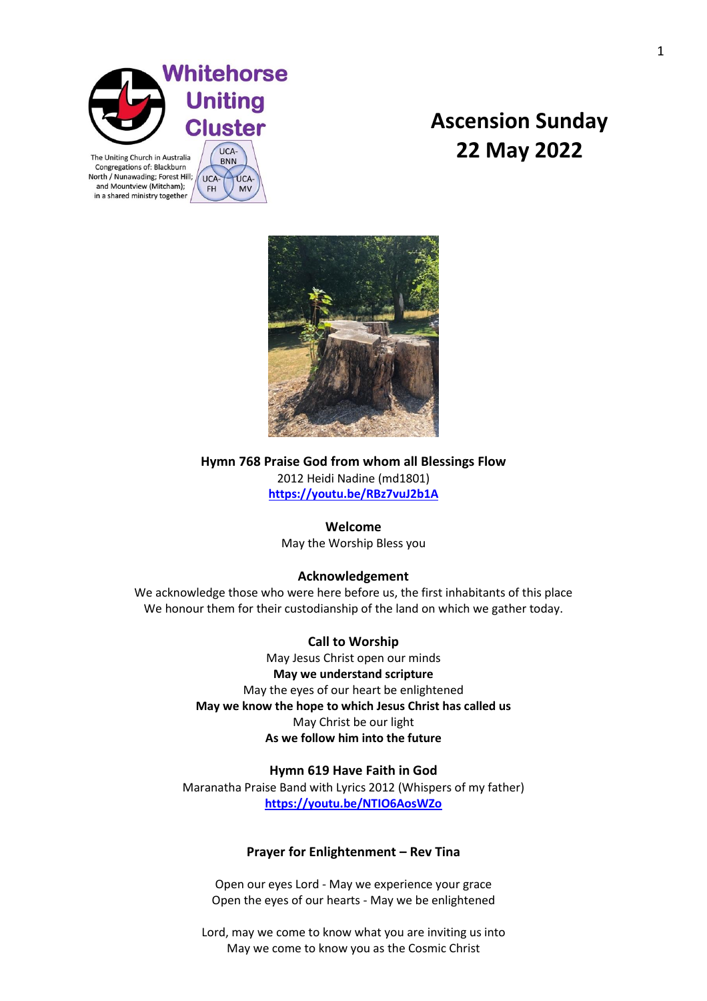

UCA-

FH

UCA-

**MV** 

Congregations of: Blackburn North / Nunawading; Forest Hill; and Mountview (Mitcham); in a shared ministry together

# **Ascension Sunday 22 May 2022**



**Hymn 768 Praise God from whom all Blessings Flow** 2012 Heidi Nadine (md1801) **<https://youtu.be/RBz7vuJ2b1A>**

# **Welcome**

May the Worship Bless you

# **Acknowledgement**

We acknowledge those who were here before us, the first inhabitants of this place We honour them for their custodianship of the land on which we gather today.

# **Call to Worship**

May Jesus Christ open our minds **May we understand scripture**  May the eyes of our heart be enlightened **May we know the hope to which Jesus Christ has called us** May Christ be our light **As we follow him into the future**

# **Hymn 619 Have Faith in God**

Maranatha Praise Band with Lyrics 2012 (Whispers of my father) **<https://youtu.be/NTIO6AosWZo>**

# **Prayer for Enlightenment – Rev Tina**

Open our eyes Lord - May we experience your grace Open the eyes of our hearts - May we be enlightened

Lord, may we come to know what you are inviting us into May we come to know you as the Cosmic Christ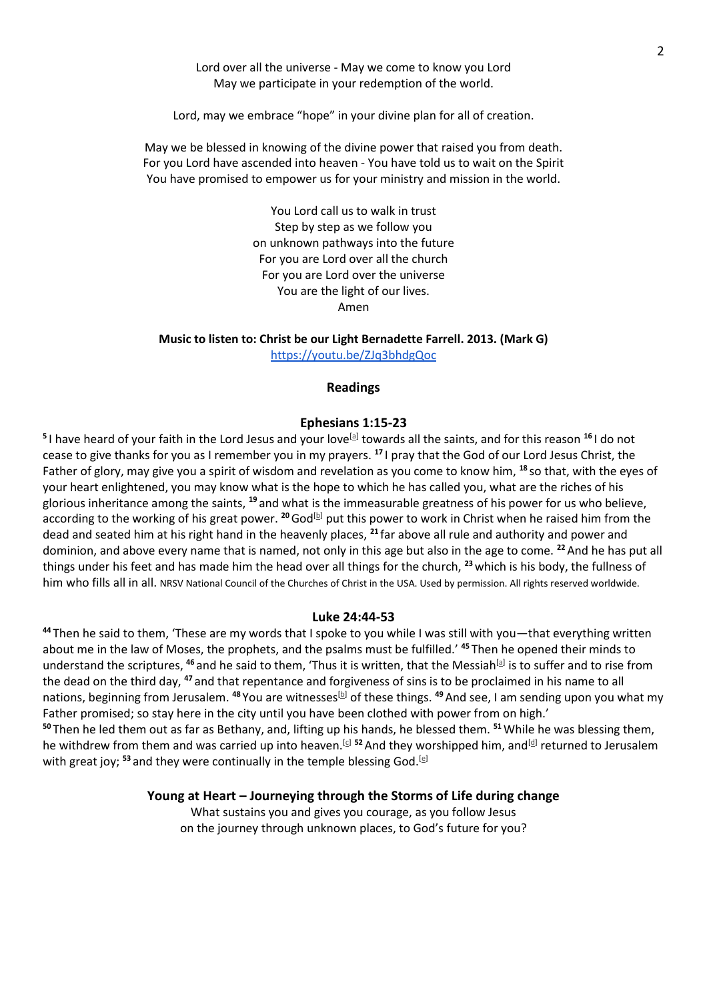Lord over all the universe - May we come to know you Lord May we participate in your redemption of the world.

Lord, may we embrace "hope" in your divine plan for all of creation.

May we be blessed in knowing of the divine power that raised you from death. For you Lord have ascended into heaven - You have told us to wait on the Spirit You have promised to empower us for your ministry and mission in the world.

> You Lord call us to walk in trust Step by step as we follow you on unknown pathways into the future For you are Lord over all the church For you are Lord over the universe You are the light of our lives. Amen

**Music to listen to: Christ be our Light Bernadette Farrell. 2013. (Mark G)**

<https://youtu.be/ZJq3bhdgQoc>

## **Readings**

### **Ephesians 1:15-23**

<sup>5</sup>I have heard of your faith in the Lord Jesus and your love<sup>[\[a\]](https://www.biblegateway.com/passage/?search=Ephesians+1%3A15-23&version=NRSVA#fen-NRSVA-29205a)</sup> towards all the saints, and for this reason <sup>16</sup>I do not cease to give thanks for you as I remember you in my prayers. **<sup>17</sup>** I pray that the God of our Lord Jesus Christ, the Father of glory, may give you a spirit of wisdom and revelation as you come to know him, **<sup>18</sup>** so that, with the eyes of your heart enlightened, you may know what is the hope to which he has called you, what are the riches of his glorious inheritance among the saints, **<sup>19</sup>** and what is the immeasurable greatness of his power for us who believe, according to the working of his great power. <sup>20</sup>God<sup>[\[b\]](https://www.biblegateway.com/passage/?search=Ephesians+1%3A15-23&version=NRSVA#fen-NRSVA-29210b)</sup> put this power to work in Christ when he raised him from the dead and seated him at his right hand in the heavenly places, **<sup>21</sup>** far above all rule and authority and power and dominion, and above every name that is named, not only in this age but also in the age to come. **<sup>22</sup>**And he has put all things under his feet and has made him the head over all things for the church, **<sup>23</sup>**which is his body, the fullness of him who fills all in all. NRSV National Council of the Churches of Christ in the USA. Used by permission. All rights reserved worldwide.

#### **Luke 24:44-53**

**<sup>44</sup>** Then he said to them, 'These are my words that I spoke to you while I was still with you—that everything written about me in the law of Moses, the prophets, and the psalms must be fulfilled.' **<sup>45</sup>** Then he opened their minds to understand the scriptures, <sup>46</sup> and he said to them, 'Thus it is written, that the Messiah<sup>[\[a\]](https://www.biblegateway.com/passage/?search=Luke+24%3A44-53&version=NRSVA#fen-NRSVA-26028a)</sup> is to suffer and to rise from the dead on the third day, **<sup>47</sup>** and that repentance and forgiveness of sins is to be proclaimed in his name to all nations, beginning from Jerusalem. <sup>48</sup> You are witnesses<sup>[\[b\]](https://www.biblegateway.com/passage/?search=Luke+24%3A44-53&version=NRSVA#fen-NRSVA-26030b)</sup> of these things. <sup>49</sup> And see, I am sending upon you what my Father promised; so stay here in the city until you have been clothed with power from on high.' **<sup>50</sup>** Then he led them out as far as Bethany, and, lifting up his hands, he blessed them. **<sup>51</sup>**While he was blessing them, he withdrew from them and was carried up into heaven.<sup>[\[c\]](https://www.biblegateway.com/passage/?search=Luke+24%3A44-53&version=NRSVA#fen-NRSVA-26033c) 52</sup> And they worshipped him, and<sup>[\[d\]](https://www.biblegateway.com/passage/?search=Luke+24%3A44-53&version=NRSVA#fen-NRSVA-26034d)</sup> returned to Jerusalem with great joy; <sup>53</sup> and they were continually in the temple blessing God.<sup>[\[e\]](https://www.biblegateway.com/passage/?search=Luke+24%3A44-53&version=NRSVA#fen-NRSVA-26035e)</sup>

#### **Young at Heart – Journeying through the Storms of Life during change**

What sustains you and gives you courage, as you follow Jesus on the journey through unknown places, to God's future for you?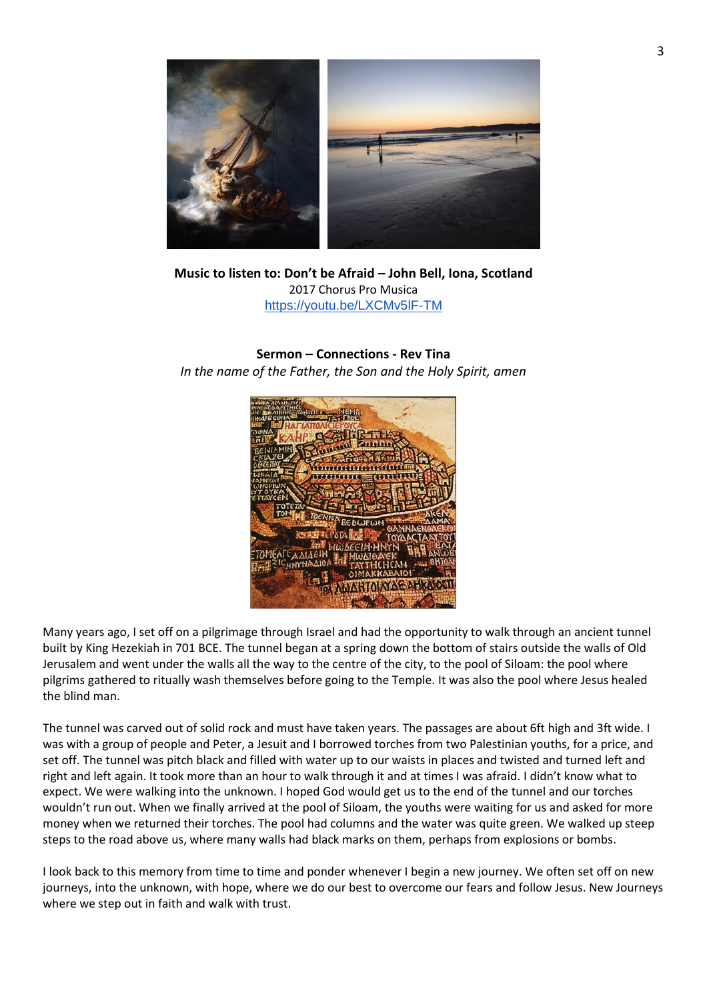

**Music to listen to: Don't be Afraid – John Bell, Iona, Scotland** 2017 Chorus Pro Musica <https://youtu.be/LXCMv5lF-TM>

# **Sermon – Connections - Rev Tina**

*In the name of the Father, the Son and the Holy Spirit, amen*



Many years ago, I set off on a pilgrimage through Israel and had the opportunity to walk through an ancient tunnel built by King Hezekiah in 701 BCE. The tunnel began at a spring down the bottom of stairs outside the walls of Old Jerusalem and went under the walls all the way to the centre of the city, to the pool of Siloam: the pool where pilgrims gathered to ritually wash themselves before going to the Temple. It was also the pool where Jesus healed the blind man.

The tunnel was carved out of solid rock and must have taken years. The passages are about 6ft high and 3ft wide. I was with a group of people and Peter, a Jesuit and I borrowed torches from two Palestinian youths, for a price, and set off. The tunnel was pitch black and filled with water up to our waists in places and twisted and turned left and right and left again. It took more than an hour to walk through it and at times I was afraid. I didn't know what to expect. We were walking into the unknown. I hoped God would get us to the end of the tunnel and our torches wouldn't run out. When we finally arrived at the pool of Siloam, the youths were waiting for us and asked for more money when we returned their torches. The pool had columns and the water was quite green. We walked up steep steps to the road above us, where many walls had black marks on them, perhaps from explosions or bombs.

I look back to this memory from time to time and ponder whenever I begin a new journey. We often set off on new journeys, into the unknown, with hope, where we do our best to overcome our fears and follow Jesus. New Journeys where we step out in faith and walk with trust.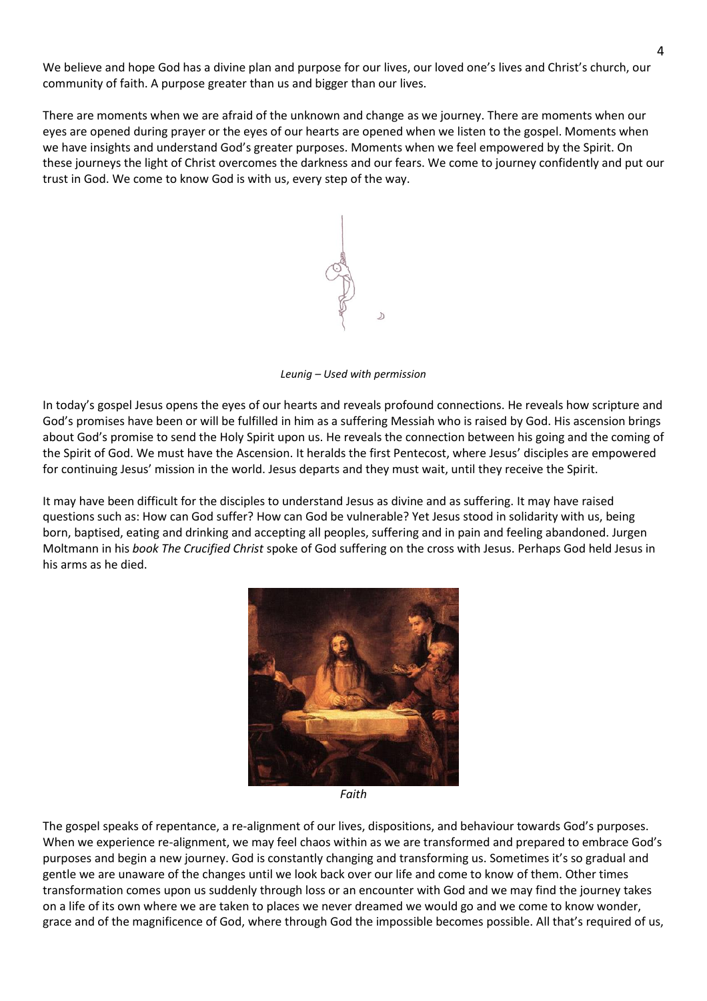We believe and hope God has a divine plan and purpose for our lives, our loved one's lives and Christ's church, our community of faith. A purpose greater than us and bigger than our lives.

There are moments when we are afraid of the unknown and change as we journey. There are moments when our eyes are opened during prayer or the eyes of our hearts are opened when we listen to the gospel. Moments when we have insights and understand God's greater purposes. Moments when we feel empowered by the Spirit. On these journeys the light of Christ overcomes the darkness and our fears. We come to journey confidently and put our trust in God. We come to know God is with us, every step of the way.



*Leunig – Used with permission*

In today's gospel Jesus opens the eyes of our hearts and reveals profound connections. He reveals how scripture and God's promises have been or will be fulfilled in him as a suffering Messiah who is raised by God. His ascension brings about God's promise to send the Holy Spirit upon us. He reveals the connection between his going and the coming of the Spirit of God. We must have the Ascension. It heralds the first Pentecost, where Jesus' disciples are empowered for continuing Jesus' mission in the world. Jesus departs and they must wait, until they receive the Spirit.

It may have been difficult for the disciples to understand Jesus as divine and as suffering. It may have raised questions such as: How can God suffer? How can God be vulnerable? Yet Jesus stood in solidarity with us, being born, baptised, eating and drinking and accepting all peoples, suffering and in pain and feeling abandoned. Jurgen Moltmann in his *book The Crucified Christ* spoke of God suffering on the cross with Jesus. Perhaps God held Jesus in his arms as he died.



*Faith*

The gospel speaks of repentance, a re-alignment of our lives, dispositions, and behaviour towards God's purposes. When we experience re-alignment, we may feel chaos within as we are transformed and prepared to embrace God's purposes and begin a new journey. God is constantly changing and transforming us. Sometimes it's so gradual and gentle we are unaware of the changes until we look back over our life and come to know of them. Other times transformation comes upon us suddenly through loss or an encounter with God and we may find the journey takes on a life of its own where we are taken to places we never dreamed we would go and we come to know wonder, grace and of the magnificence of God, where through God the impossible becomes possible. All that's required of us,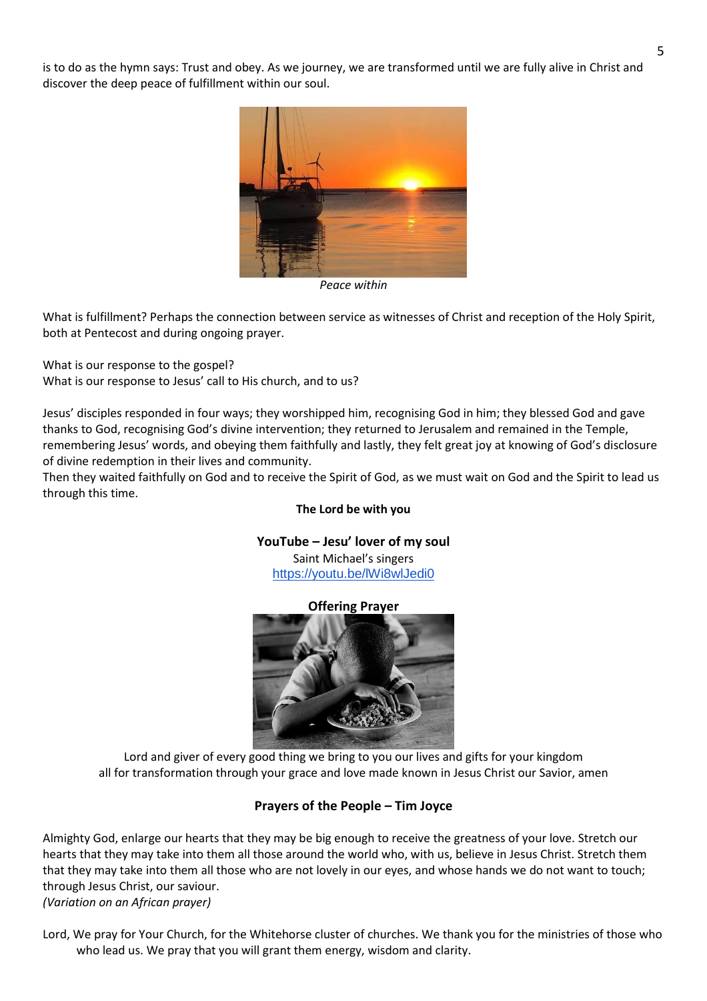is to do as the hymn says: Trust and obey. As we journey, we are transformed until we are fully alive in Christ and discover the deep peace of fulfillment within our soul.



*Peace within* 

What is fulfillment? Perhaps the connection between service as witnesses of Christ and reception of the Holy Spirit, both at Pentecost and during ongoing prayer.

What is our response to the gospel?

What is our response to Jesus' call to His church, and to us?

Jesus' disciples responded in four ways; they worshipped him, recognising God in him; they blessed God and gave thanks to God, recognising God's divine intervention; they returned to Jerusalem and remained in the Temple, remembering Jesus' words, and obeying them faithfully and lastly, they felt great joy at knowing of God's disclosure of divine redemption in their lives and community.

Then they waited faithfully on God and to receive the Spirit of God, as we must wait on God and the Spirit to lead us through this time.

## **The Lord be with you**

**YouTube – Jesu' lover of my soul**

Saint Michael's singers <https://youtu.be/lWi8wlJedi0>

## **Offering Prayer**



Lord and giver of every good thing we bring to you our lives and gifts for your kingdom all for transformation through your grace and love made known in Jesus Christ our Savior, amen

# **Prayers of the People – Tim Joyce**

Almighty God, enlarge our hearts that they may be big enough to receive the greatness of your love. Stretch our hearts that they may take into them all those around the world who, with us, believe in Jesus Christ. Stretch them that they may take into them all those who are not lovely in our eyes, and whose hands we do not want to touch; through Jesus Christ, our saviour.

*(Variation on an African prayer)*

Lord, We pray for Your Church, for the Whitehorse cluster of churches. We thank you for the ministries of those who who lead us. We pray that you will grant them energy, wisdom and clarity.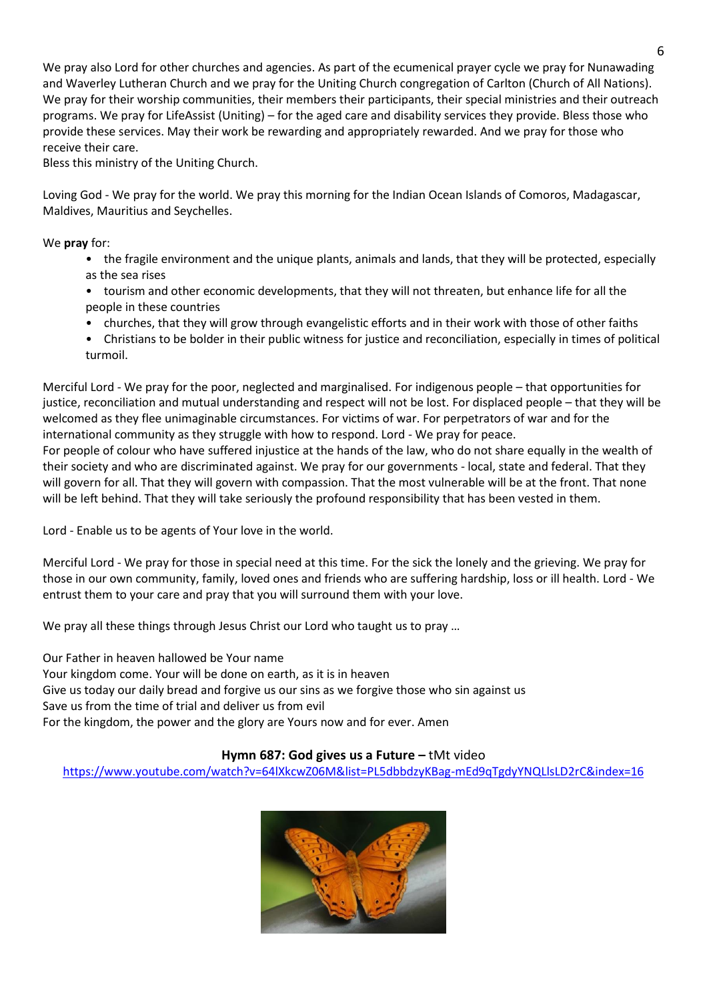We pray also Lord for other churches and agencies. As part of the ecumenical prayer cycle we pray for Nunawading and Waverley Lutheran Church and we pray for the Uniting Church congregation of Carlton (Church of All Nations). We pray for their worship communities, their members their participants, their special ministries and their outreach programs. We pray for LifeAssist (Uniting) – for the aged care and disability services they provide. Bless those who provide these services. May their work be rewarding and appropriately rewarded. And we pray for those who receive their care.

Bless this ministry of the Uniting Church.

Loving God - We pray for the world. We pray this morning for the Indian Ocean Islands of Comoros, Madagascar, Maldives, Mauritius and Seychelles.

We **pray** for:

- the fragile environment and the unique plants, animals and lands, that they will be protected, especially as the sea rises
- tourism and other economic developments, that they will not threaten, but enhance life for all the people in these countries
- churches, that they will grow through evangelistic efforts and in their work with those of other faiths
- Christians to be bolder in their public witness for justice and reconciliation, especially in times of political turmoil.

Merciful Lord - We pray for the poor, neglected and marginalised. For indigenous people – that opportunities for justice, reconciliation and mutual understanding and respect will not be lost. For displaced people – that they will be welcomed as they flee unimaginable circumstances. For victims of war. For perpetrators of war and for the international community as they struggle with how to respond. Lord - We pray for peace.

For people of colour who have suffered injustice at the hands of the law, who do not share equally in the wealth of their society and who are discriminated against. We pray for our governments - local, state and federal. That they will govern for all. That they will govern with compassion. That the most vulnerable will be at the front. That none will be left behind. That they will take seriously the profound responsibility that has been vested in them.

Lord - Enable us to be agents of Your love in the world.

Merciful Lord - We pray for those in special need at this time. For the sick the lonely and the grieving. We pray for those in our own community, family, loved ones and friends who are suffering hardship, loss or ill health. Lord - We entrust them to your care and pray that you will surround them with your love.

We pray all these things through Jesus Christ our Lord who taught us to pray ...

Our Father in heaven hallowed be Your name

Your kingdom come. Your will be done on earth, as it is in heaven

Give us today our daily bread and forgive us our sins as we forgive those who sin against us

Save us from the time of trial and deliver us from evil

For the kingdom, the power and the glory are Yours now and for ever. Amen

# **Hymn 687: God gives us a Future – tMt video**

<https://www.youtube.com/watch?v=64lXkcwZ06M&list=PL5dbbdzyKBag-mEd9qTgdyYNQLlsLD2rC&index=16>

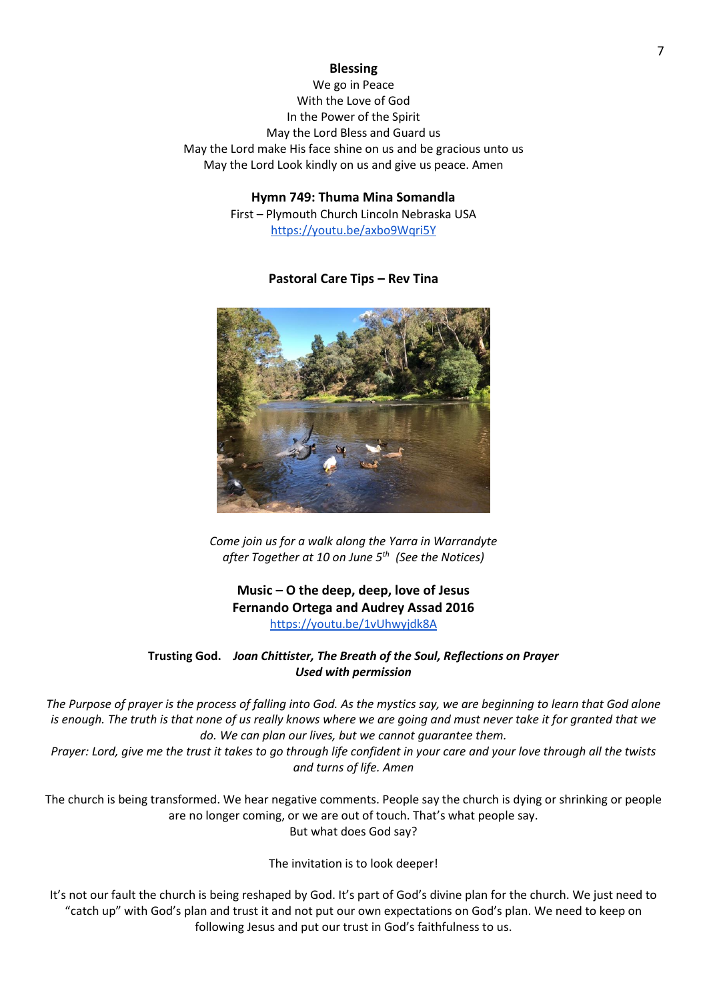#### **Blessing**

We go in Peace With the Love of God In the Power of the Spirit May the Lord Bless and Guard us May the Lord make His face shine on us and be gracious unto us May the Lord Look kindly on us and give us peace. Amen

> **Hymn 749: Thuma Mina Somandla** First – Plymouth Church Lincoln Nebraska USA <https://youtu.be/axbo9Wqri5Y>

## **Pastoral Care Tips – Rev Tina**



*Come join us for a walk along the Yarra in Warrandyte after Together at 10 on June 5th (See the Notices)*

**Music – O the deep, deep, love of Jesus Fernando Ortega and Audrey Assad 2016** <https://youtu.be/1vUhwyjdk8A>

## **Trusting God.** *Joan Chittister, The Breath of the Soul, Reflections on Prayer Used with permission*

*The Purpose of prayer is the process of falling into God. As the mystics say, we are beginning to learn that God alone is enough. The truth is that none of us really knows where we are going and must never take it for granted that we do. We can plan our lives, but we cannot guarantee them.* 

*Prayer: Lord, give me the trust it takes to go through life confident in your care and your love through all the twists and turns of life. Amen*

The church is being transformed. We hear negative comments. People say the church is dying or shrinking or people are no longer coming, or we are out of touch. That's what people say. But what does God say?

The invitation is to look deeper!

It's not our fault the church is being reshaped by God. It's part of God's divine plan for the church. We just need to "catch up" with God's plan and trust it and not put our own expectations on God's plan. We need to keep on following Jesus and put our trust in God's faithfulness to us.